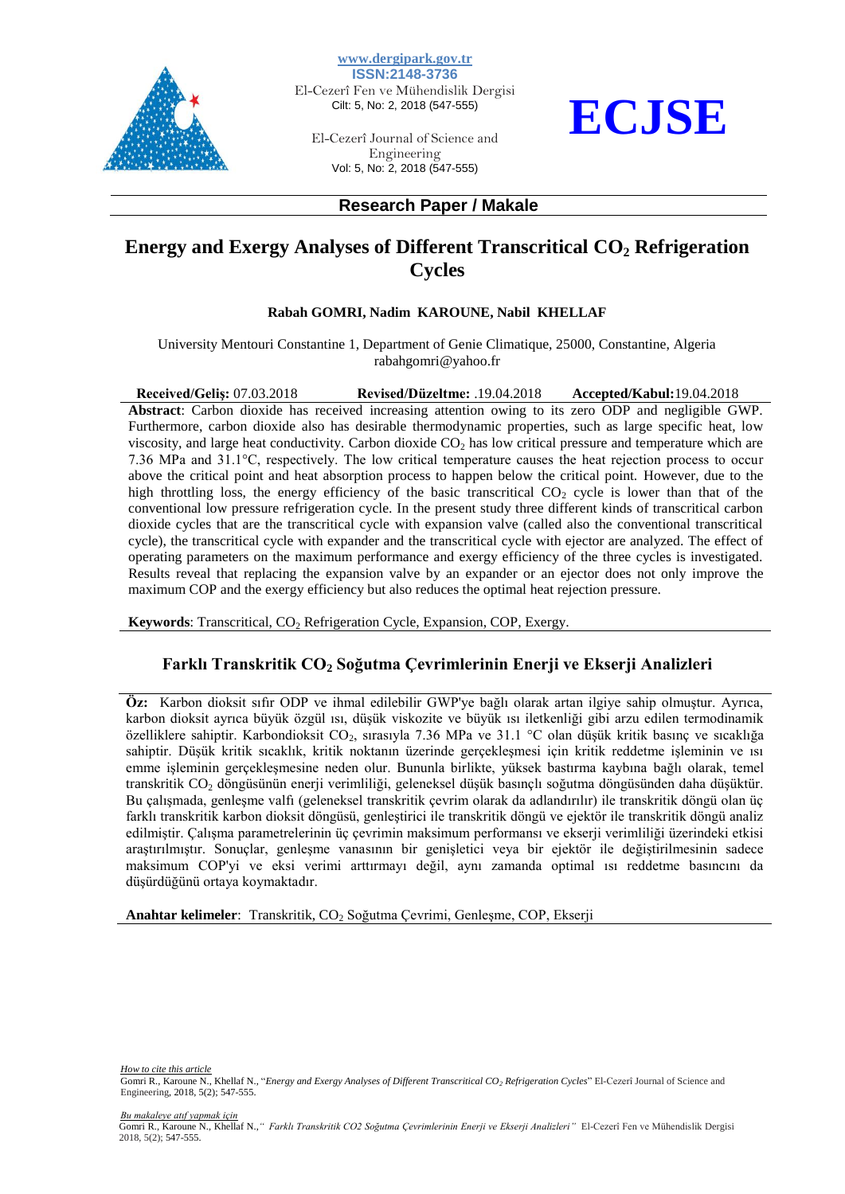

**www.dergipark.gov.tr ISSN:2148-3736** El-Cezerî Fen ve Mühendislik Dergisi Cilt: 5, No: 2, 2018 (547-555)

El-Cezerî Journal of Science and Engineering Vol: 5, No: 2, 2018 (547-555)



### **Research Paper / Makale**

# **Energy and Exergy Analyses of Different Transcritical CO<sup>2</sup> Refrigeration Cycles**

#### **Rabah GOMRI, Nadim KAROUNE, Nabil KHELLAF**

University Mentouri Constantine 1, Department of Genie Climatique, 25000, Constantine, Algeria rabahgomri@yahoo.fr

**Received/Geliş:** 07.03.2018 **Revised/Düzeltme:** .19.04.2018 **Accepted/Kabul:**19.04.2018 **Abstract**: Carbon dioxide has received increasing attention owing to its zero ODP and negligible GWP. Furthermore, carbon dioxide also has desirable thermodynamic properties, such as large specific heat, low viscosity, and large heat conductivity. Carbon dioxide  $CO<sub>2</sub>$  has low critical pressure and temperature which are 7.36 MPa and 31.1°C, respectively. The low critical temperature causes the heat rejection process to occur above the critical point and heat absorption process to happen below the critical point. However, due to the high throttling loss, the energy efficiency of the basic transcritical  $CO<sub>2</sub>$  cycle is lower than that of the conventional low pressure refrigeration cycle. In the present study three different kinds of transcritical carbon dioxide cycles that are the transcritical cycle with expansion valve (called also the conventional transcritical cycle), the transcritical cycle with expander and the transcritical cycle with ejector are analyzed. The effect of operating parameters on the maximum performance and exergy efficiency of the three cycles is investigated. Results reveal that replacing the expansion valve by an expander or an ejector does not only improve the maximum COP and the exergy efficiency but also reduces the optimal heat rejection pressure.

**Keywords**: Transcritical, CO<sub>2</sub> Refrigeration Cycle, Expansion, COP, Exergy.

## **Farklı Transkritik CO<sup>2</sup> Soğutma Çevrimlerinin Enerji ve Ekserji Analizleri**

**Öz:** Karbon dioksit sıfır ODP ve ihmal edilebilir GWP'ye bağlı olarak artan ilgiye sahip olmuştur. Ayrıca, karbon dioksit ayrıca büyük özgül ısı, düşük viskozite ve büyük ısı iletkenliği gibi arzu edilen termodinamik özelliklere sahiptir. Karbondioksit CO2, sırasıyla 7.36 MPa ve 31.1 °C olan düşük kritik basınç ve sıcaklığa sahiptir. Düşük kritik sıcaklık, kritik noktanın üzerinde gerçekleşmesi için kritik reddetme işleminin ve ısı emme işleminin gerçekleşmesine neden olur. Bununla birlikte, yüksek bastırma kaybına bağlı olarak, temel transkritik CO<sup>2</sup> döngüsünün enerji verimliliği, geleneksel düşük basınçlı soğutma döngüsünden daha düşüktür. Bu çalışmada, genleşme valfı (geleneksel transkritik çevrim olarak da adlandırılır) ile transkritik döngü olan üç farklı transkritik karbon dioksit döngüsü, genleştirici ile transkritik döngü ve ejektör ile transkritik döngü analiz edilmiştir. Çalışma parametrelerinin üç çevrimin maksimum performansı ve ekserji verimliliği üzerindeki etkisi araştırılmıştır. Sonuçlar, genleşme vanasının bir genişletici veya bir ejektör ile değiştirilmesinin sadece maksimum COP'yi ve eksi verimi arttırmayı değil, aynı zamanda optimal ısı reddetme basıncını da düşürdüğünü ortaya koymaktadır.

**Anahtar kelimeler**: Transkritik, CO<sub>2</sub> Soğutma Çevrimi, Genleşme, COP, Ekserji

*How to cite this article* Gomri R., Karoune N., Khellaf N., "*Energy and Exergy Analyses of Different Transcritical CO<sup>2</sup> Refrigeration Cycles*" El-Cezerî Journal of Science and Engineering, 2018, 5(2); 547-555.

*Bu makaleye atıf yapmak için*

Gomri R., Karoune N., Khellaf N.,*" Farklı Transkritik CO2 Soğutma Çevrimlerinin Enerji ve Ekserji Analizleri"* El-Cezerî Fen ve Mühendislik Dergisi 2018, 5(2); 547-555.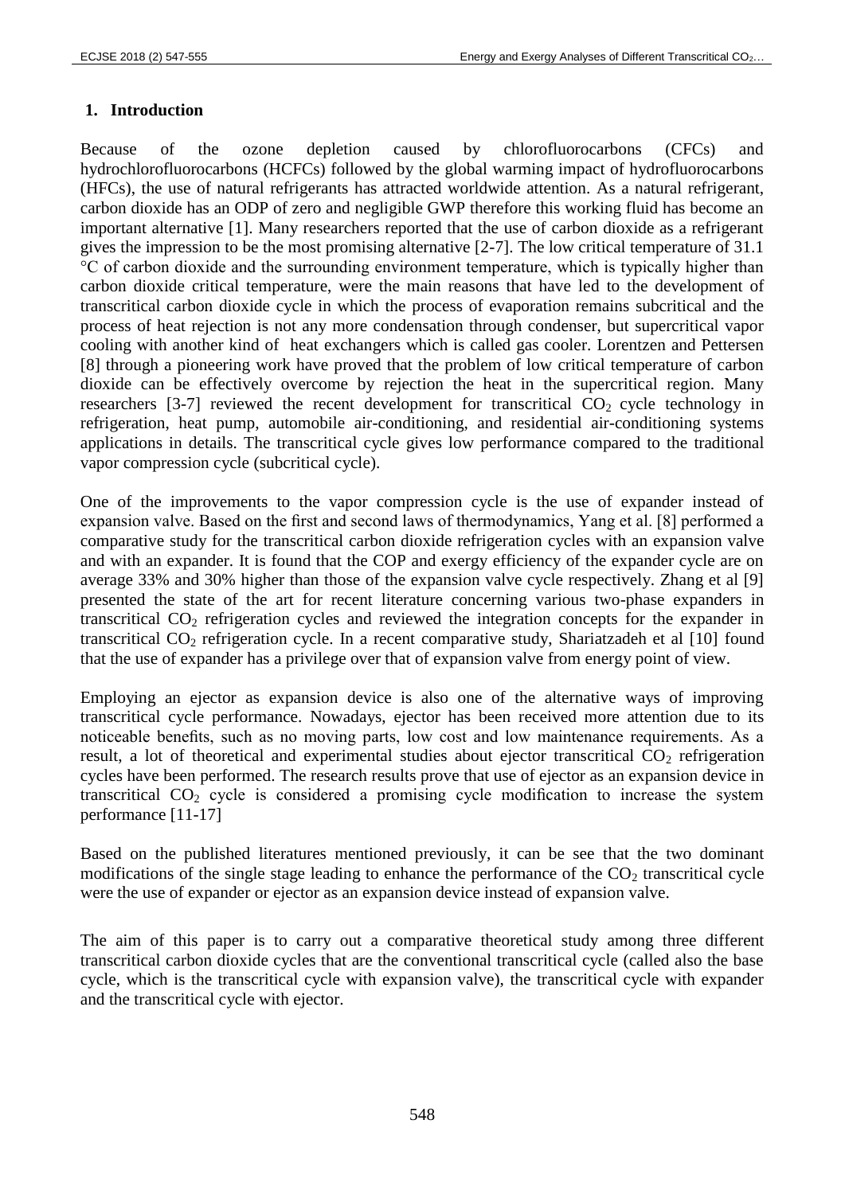## **1. Introduction**

Because of the ozone depletion caused by chlorofluorocarbons (CFCs) and hydrochlorofluorocarbons (HCFCs) followed by the global warming impact of hydrofluorocarbons (HFCs), the use of natural refrigerants has attracted worldwide attention. As a natural refrigerant, carbon dioxide has an ODP of zero and negligible GWP therefore this working fluid has become an important alternative [1]. Many researchers reported that the use of carbon dioxide as a refrigerant gives the impression to be the most promising alternative [2-7]. The low critical temperature of 31.1 °C of carbon dioxide and the surrounding environment temperature, which is typically higher than carbon dioxide critical temperature, were the main reasons that have led to the development of transcritical carbon dioxide cycle in which the process of evaporation remains subcritical and the process of heat rejection is not any more condensation through condenser, but supercritical vapor cooling with another kind of heat exchangers which is called gas cooler. Lorentzen and Pettersen [8] through a pioneering work have proved that the problem of low critical temperature of carbon dioxide can be effectively overcome by rejection the heat in the supercritical region. Many researchers [3-7] reviewed the recent development for transcritical  $CO<sub>2</sub>$  cycle technology in refrigeration, heat pump, automobile air-conditioning, and residential air-conditioning systems applications in details. The transcritical cycle gives low performance compared to the traditional vapor compression cycle (subcritical cycle).

One of the improvements to the vapor compression cycle is the use of expander instead of expansion valve. Based on the first and second laws of thermodynamics, Yang et al. [8] performed a comparative study for the transcritical carbon dioxide refrigeration cycles with an expansion valve and with an expander. It is found that the COP and exergy efficiency of the expander cycle are on average 33% and 30% higher than those of the expansion valve cycle respectively. Zhang et al [9] presented the state of the art for recent literature concerning various two-phase expanders in transcritical  $CO<sub>2</sub>$  refrigeration cycles and reviewed the integration concepts for the expander in transcritical  $CO<sub>2</sub>$  refrigeration cycle. In a recent comparative study, Shariatzadeh et al [10] found that the use of expander has a privilege over that of expansion valve from energy point of view.

Employing an ejector as expansion device is also one of the alternative ways of improving transcritical cycle performance. Nowadays, ejector has been received more attention due to its noticeable benefits, such as no moving parts, low cost and low maintenance requirements. As a result, a lot of theoretical and experimental studies about ejector transcritical  $CO<sub>2</sub>$  refrigeration cycles have been performed. The research results prove that use of ejector as an expansion device in transcritical  $CO<sub>2</sub>$  cycle is considered a promising cycle modification to increase the system performance [11-17]

Based on the published literatures mentioned previously, it can be see that the two dominant modifications of the single stage leading to enhance the performance of the  $CO<sub>2</sub>$  transcritical cycle were the use of expander or ejector as an expansion device instead of expansion valve.

The aim of this paper is to carry out a comparative theoretical study among three different transcritical carbon dioxide cycles that are the conventional transcritical cycle (called also the base cycle, which is the transcritical cycle with expansion valve), the transcritical cycle with expander and the transcritical cycle with ejector.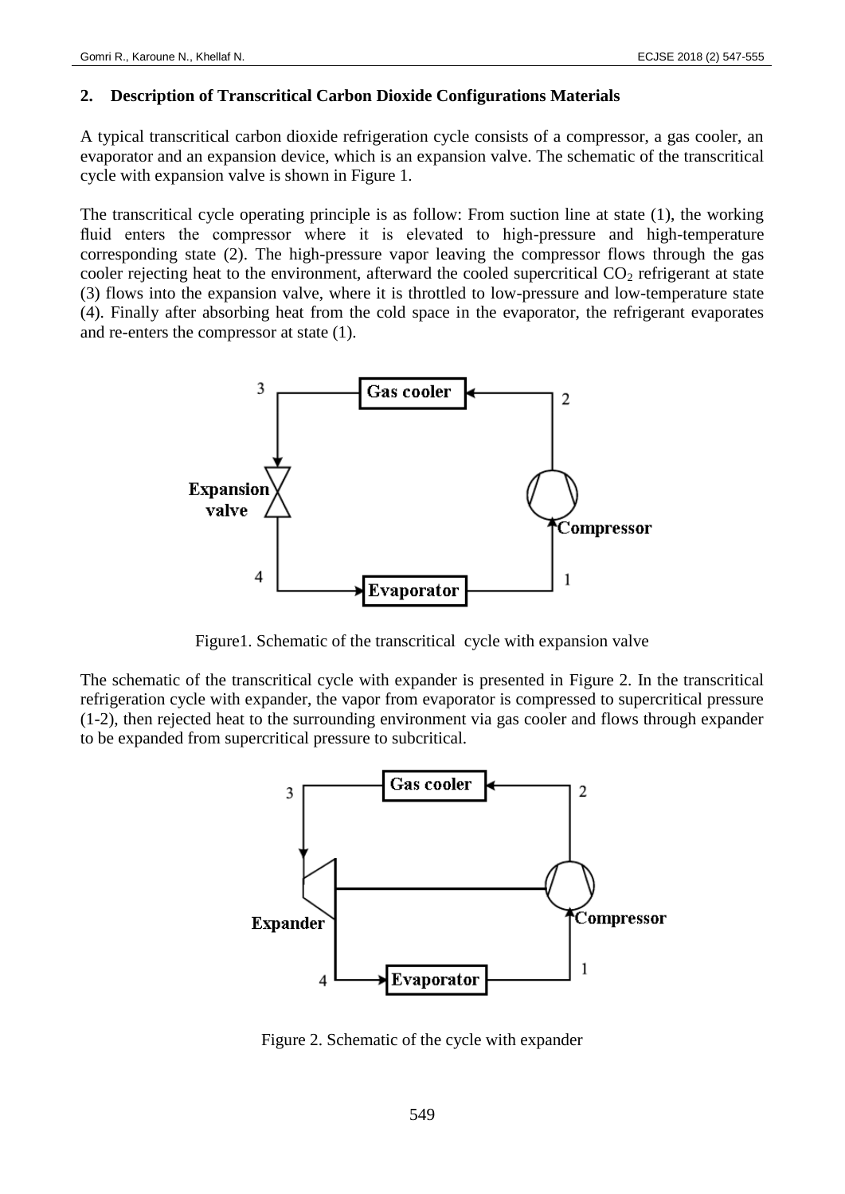### **2. Description of Transcritical Carbon Dioxide Configurations Materials**

A typical transcritical carbon dioxide refrigeration cycle consists of a compressor, a gas cooler, an evaporator and an expansion device, which is an expansion valve. The schematic of the transcritical cycle with expansion valve is shown in Figure 1.

The transcritical cycle operating principle is as follow: From suction line at state (1), the working fluid enters the compressor where it is elevated to high-pressure and high-temperature corresponding state (2). The high-pressure vapor leaving the compressor flows through the gas cooler rejecting heat to the environment, afterward the cooled supercritical  $CO<sub>2</sub>$  refrigerant at state (3) flows into the expansion valve, where it is throttled to low-pressure and low-temperature state (4). Finally after absorbing heat from the cold space in the evaporator, the refrigerant evaporates and re-enters the compressor at state (1).



Figure1. Schematic of the transcritical cycle with expansion valve

The schematic of the transcritical cycle with expander is presented in Figure 2. In the transcritical refrigeration cycle with expander, the vapor from evaporator is compressed to supercritical pressure (1-2), then rejected heat to the surrounding environment via gas cooler and flows through expander to be expanded from supercritical pressure to subcritical.



Figure 2. Schematic of the cycle with expander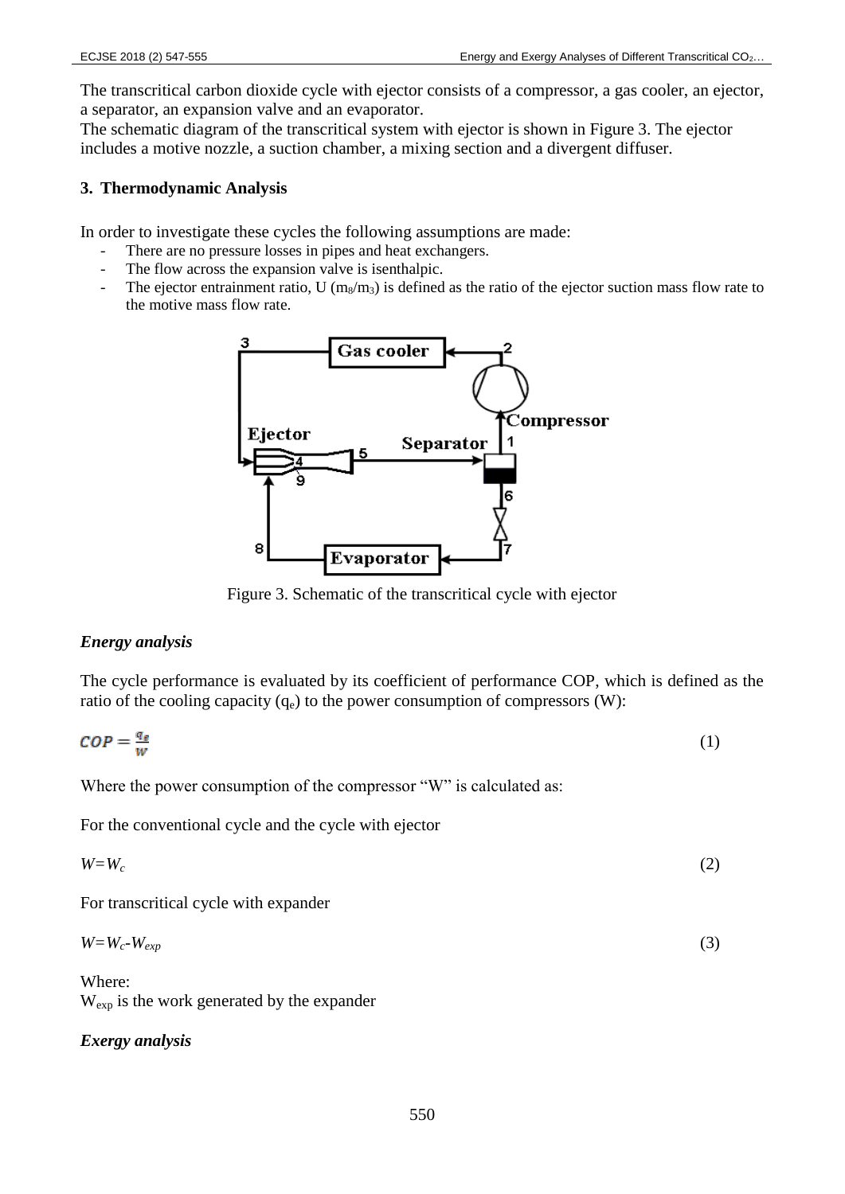The transcritical carbon dioxide cycle with ejector consists of a compressor, a gas cooler, an ejector, a separator, an expansion valve and an evaporator.

The schematic diagram of the transcritical system with ejector is shown in Figure 3. The ejector includes a motive nozzle, a suction chamber, a mixing section and a divergent diffuser.

### **3. Thermodynamic Analysis**

In order to investigate these cycles the following assumptions are made:

- There are no pressure losses in pipes and heat exchangers.
- The flow across the expansion valve is isenthalpic.
- The ejector entrainment ratio, U  $(m_8/m_3)$  is defined as the ratio of the ejector suction mass flow rate to the motive mass flow rate.



Figure 3. Schematic of the transcritical cycle with ejector

### *Energy analysis*

The cycle performance is evaluated by its coefficient of performance COP, which is defined as the ratio of the cooling capacity  $(q_e)$  to the power consumption of compressors (W):

$$
COP = \frac{q_e}{w} \tag{1}
$$

Where the power consumption of the compressor "W" is calculated as:

For the conventional cycle and the cycle with ejector

$$
W = W_c \tag{2}
$$

For transcritical cycle with expander

$$
W = W_c - W_{exp} \tag{3}
$$

Where: Wexp is the work generated by the expander

## *Exergy analysis*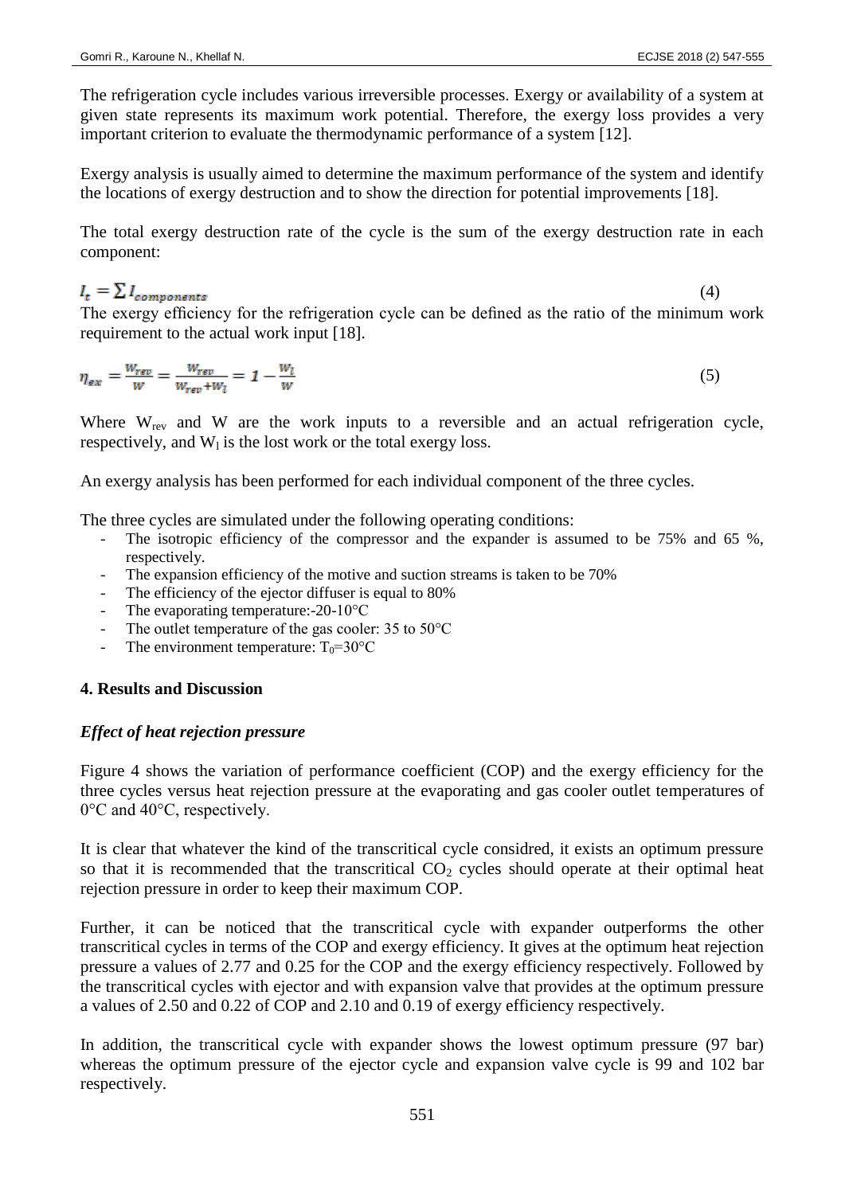The refrigeration cycle includes various irreversible processes. Exergy or availability of a system at given state represents its maximum work potential. Therefore, the exergy loss provides a very important criterion to evaluate the thermodynamic performance of a system [12].

Exergy analysis is usually aimed to determine the maximum performance of the system and identify the locations of exergy destruction and to show the direction for potential improvements [18].

The total exergy destruction rate of the cycle is the sum of the exergy destruction rate in each component:

### $I_t = \sum I_{components}$

(4)

The exergy efficiency for the refrigeration cycle can be defined as the ratio of the minimum work requirement to the actual work input [18].

$$
\eta_{ex} = \frac{W_{rev}}{W} = \frac{W_{rev}}{W_{rev} + W_l} = 1 - \frac{W_l}{W}
$$
\n<sup>(5)</sup>

Where  $W_{rev}$  and  $W$  are the work inputs to a reversible and an actual refrigeration cycle, respectively, and  $W_1$  is the lost work or the total exergy loss.

An exergy analysis has been performed for each individual component of the three cycles.

The three cycles are simulated under the following operating conditions:

- The isotropic efficiency of the compressor and the expander is assumed to be 75% and 65 %, respectively.
- The expansion efficiency of the motive and suction streams is taken to be 70%
- The efficiency of the ejector diffuser is equal to 80%
- The evaporating temperature:- $20-10^{\circ}$ C
- The outlet temperature of the gas cooler:  $35$  to  $50^{\circ}$ C
- The environment temperature:  $T_0 = 30^{\circ}C$

### **4. Results and Discussion**

### *Effect of heat rejection pressure*

Figure 4 shows the variation of performance coefficient (COP) and the exergy efficiency for the three cycles versus heat rejection pressure at the evaporating and gas cooler outlet temperatures of 0°C and 40°C, respectively.

It is clear that whatever the kind of the transcritical cycle considred, it exists an optimum pressure so that it is recommended that the transcritical  $CO<sub>2</sub>$  cycles should operate at their optimal heat rejection pressure in order to keep their maximum COP.

Further, it can be noticed that the transcritical cycle with expander outperforms the other transcritical cycles in terms of the COP and exergy efficiency. It gives at the optimum heat rejection pressure a values of 2.77 and 0.25 for the COP and the exergy efficiency respectively. Followed by the transcritical cycles with ejector and with expansion valve that provides at the optimum pressure a values of 2.50 and 0.22 of COP and 2.10 and 0.19 of exergy efficiency respectively.

In addition, the transcritical cycle with expander shows the lowest optimum pressure (97 bar) whereas the optimum pressure of the ejector cycle and expansion valve cycle is 99 and 102 bar respectively.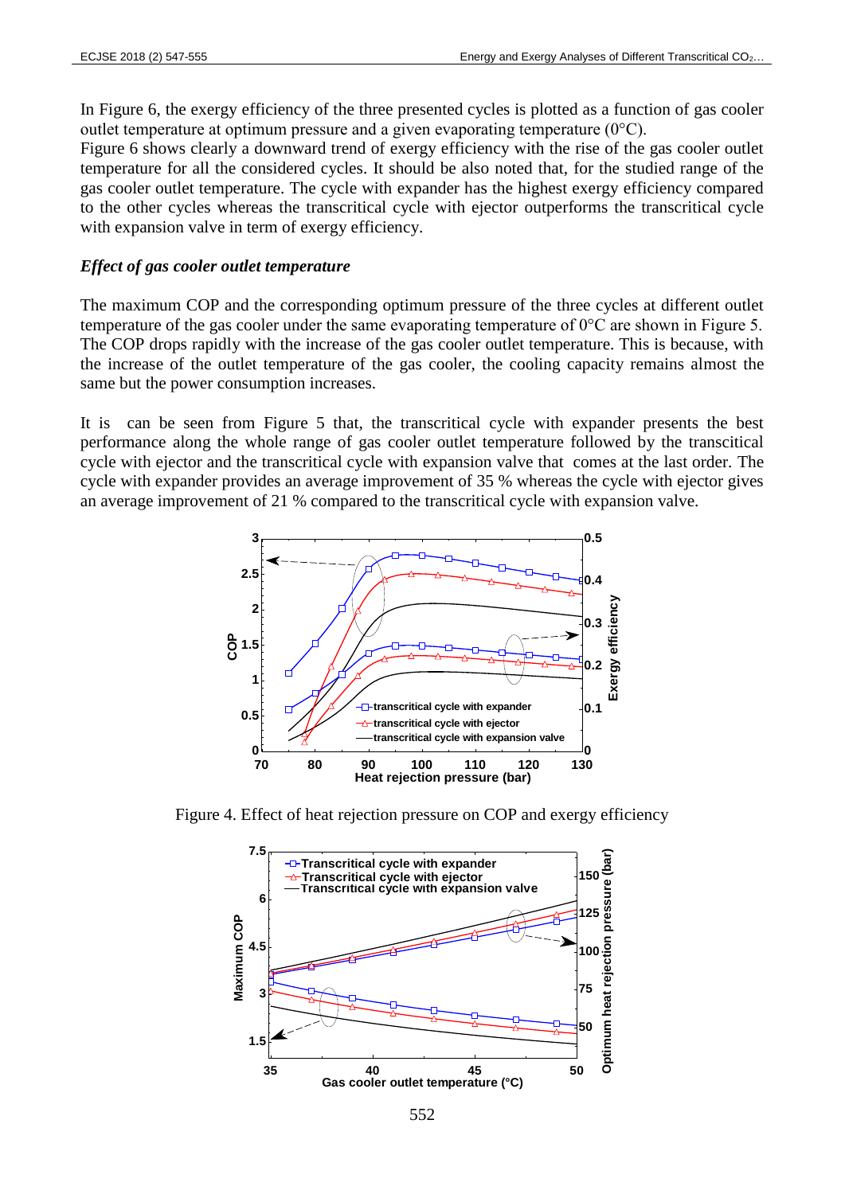In Figure 6, the exergy efficiency of the three presented cycles is plotted as a function of gas cooler outlet temperature at optimum pressure and a given evaporating temperature (0°C).

Figure 6 shows clearly a downward trend of exergy efficiency with the rise of the gas cooler outlet temperature for all the considered cycles. It should be also noted that, for the studied range of the gas cooler outlet temperature. The cycle with expander has the highest exergy efficiency compared to the other cycles whereas the transcritical cycle with ejector outperforms the transcritical cycle with expansion valve in term of exergy efficiency.

### *Effect of gas cooler outlet temperature*

The maximum COP and the corresponding optimum pressure of the three cycles at different outlet temperature of the gas cooler under the same evaporating temperature of 0°C are shown in Figure 5. The COP drops rapidly with the increase of the gas cooler outlet temperature. This is because, with the increase of the outlet temperature of the gas cooler, the cooling capacity remains almost the same but the power consumption increases.

It is can be seen from Figure 5 that, the transcritical cycle with expander presents the best performance along the whole range of gas cooler outlet temperature followed by the transcitical cycle with ejector and the transcritical cycle with expansion valve that comes at the last order. The cycle with expander provides an average improvement of 35 % whereas the cycle with ejector gives an average improvement of 21 % compared to the transcritical cycle with expansion valve.



Figure 4. Effect of heat rejection pressure on COP and exergy efficiency

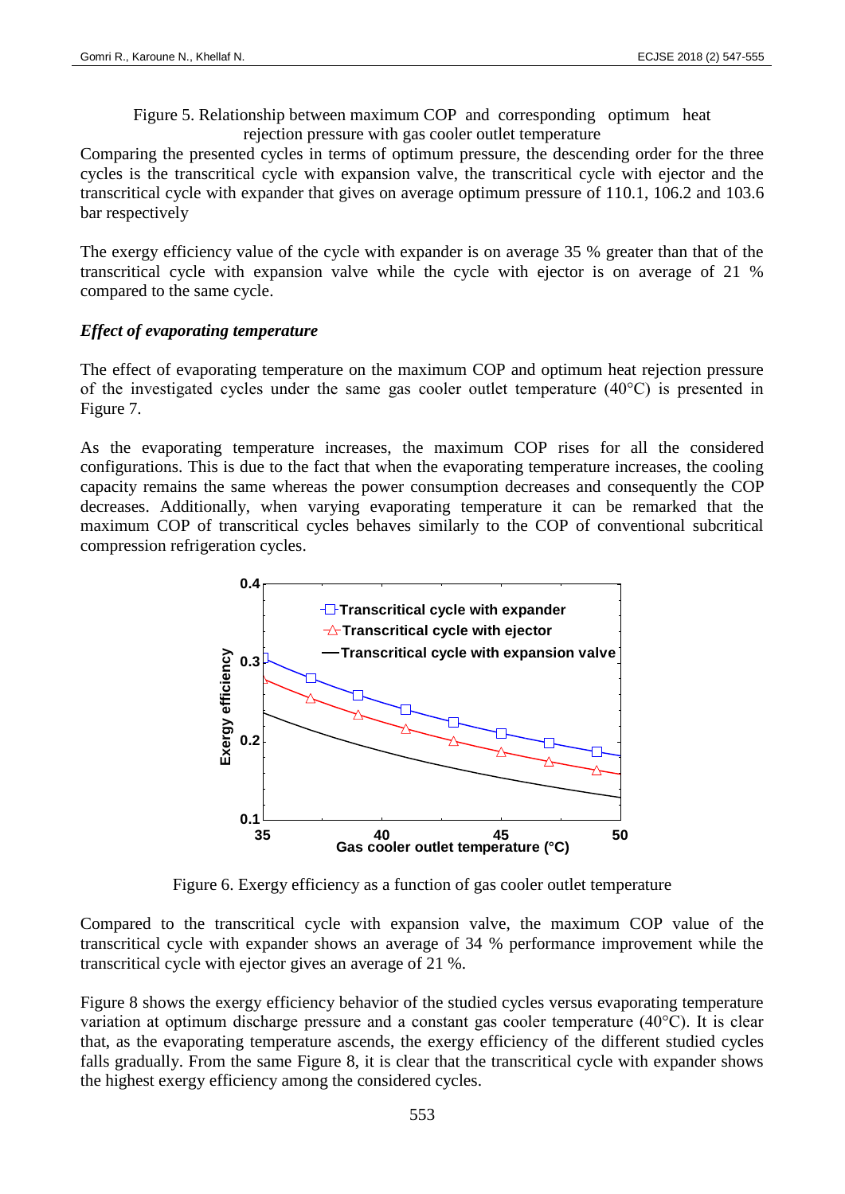Figure 5. Relationship between maximum COP and corresponding optimum heat rejection pressure with gas cooler outlet temperature

Comparing the presented cycles in terms of optimum pressure, the descending order for the three cycles is the transcritical cycle with expansion valve, the transcritical cycle with ejector and the transcritical cycle with expander that gives on average optimum pressure of 110.1, 106.2 and 103.6 bar respectively

The exergy efficiency value of the cycle with expander is on average 35 % greater than that of the transcritical cycle with expansion valve while the cycle with ejector is on average of 21 % compared to the same cycle.

### *Effect of evaporating temperature*

The effect of evaporating temperature on the maximum COP and optimum heat rejection pressure of the investigated cycles under the same gas cooler outlet temperature (40°C) is presented in Figure 7.

As the evaporating temperature increases, the maximum COP rises for all the considered configurations. This is due to the fact that when the evaporating temperature increases, the cooling capacity remains the same whereas the power consumption decreases and consequently the COP decreases. Additionally, when varying evaporating temperature it can be remarked that the maximum COP of transcritical cycles behaves similarly to the COP of conventional subcritical compression refrigeration cycles.



Figure 6. Exergy efficiency as a function of gas cooler outlet temperature

Compared to the transcritical cycle with expansion valve, the maximum COP value of the transcritical cycle with expander shows an average of 34 % performance improvement while the transcritical cycle with ejector gives an average of 21 %.

Figure 8 shows the exergy efficiency behavior of the studied cycles versus evaporating temperature variation at optimum discharge pressure and a constant gas cooler temperature (40°C). It is clear that, as the evaporating temperature ascends, the exergy efficiency of the different studied cycles falls gradually. From the same Figure 8, it is clear that the transcritical cycle with expander shows the highest exergy efficiency among the considered cycles.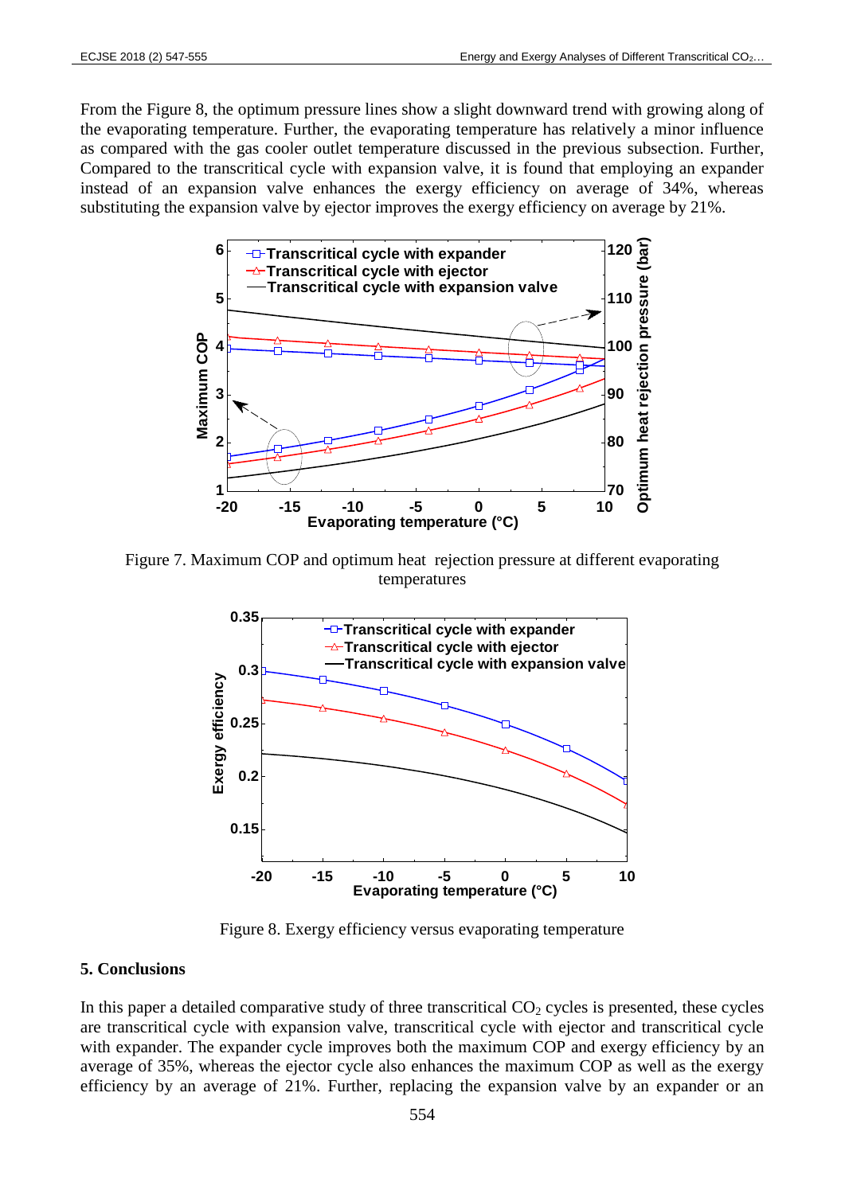From the Figure 8, the optimum pressure lines show a slight downward trend with growing along of the evaporating temperature. Further, the evaporating temperature has relatively a minor influence as compared with the gas cooler outlet temperature discussed in the previous subsection. Further, Compared to the transcritical cycle with expansion valve, it is found that employing an expander instead of an expansion valve enhances the exergy efficiency on average of 34%, whereas substituting the expansion valve by ejector improves the exergy efficiency on average by 21%.



Figure 7. Maximum COP and optimum heat rejection pressure at different evaporating temperatures



Figure 8. Exergy efficiency versus evaporating temperature

### **5. Conclusions**

In this paper a detailed comparative study of three transcritical  $CO<sub>2</sub>$  cycles is presented, these cycles are transcritical cycle with expansion valve, transcritical cycle with ejector and transcritical cycle with expander. The expander cycle improves both the maximum COP and exergy efficiency by an average of 35%, whereas the ejector cycle also enhances the maximum COP as well as the exergy efficiency by an average of 21%. Further, replacing the expansion valve by an expander or an